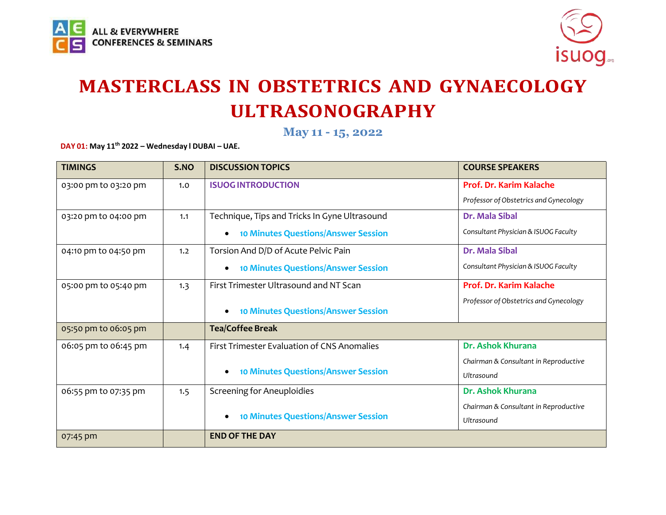



**May 11 - 15, 2022**

**DAY 01: May 11 th 2022 – Wednesday l DUBAI – UAE.**

| <b>TIMINGS</b>       | S.NO                                       | <b>DISCUSSION TOPICS</b>                                | <b>COURSE SPEAKERS</b>                 |
|----------------------|--------------------------------------------|---------------------------------------------------------|----------------------------------------|
| 03:00 pm to 03:20 pm | 1.0                                        | <b>ISUOG INTRODUCTION</b>                               | Prof. Dr. Karim Kalache                |
|                      |                                            |                                                         | Professor of Obstetrics and Gynecology |
| 03:20 pm to 04:00 pm | 1.1                                        | Technique, Tips and Tricks In Gyne Ultrasound           | <b>Dr. Mala Sibal</b>                  |
|                      |                                            | <b>10 Minutes Questions/Answer Session</b>              | Consultant Physician & ISUOG Faculty   |
| 04:10 pm to 04:50 pm | 1.2                                        | Torsion And D/D of Acute Pelvic Pain                    | Dr. Mala Sibal                         |
|                      |                                            | <b>10 Minutes Questions/Answer Session</b><br>$\bullet$ | Consultant Physician & ISUOG Faculty   |
| 05:00 pm to 05:40 pm | 1.3                                        | First Trimester Ultrasound and NT Scan                  | Prof. Dr. Karim Kalache                |
|                      |                                            | <b>10 Minutes Questions/Answer Session</b><br>$\bullet$ | Professor of Obstetrics and Gynecology |
| 05:50 pm to 06:05 pm |                                            | <b>Tea/Coffee Break</b>                                 |                                        |
| 06:05 pm to 06:45 pm | 1.4                                        | First Trimester Evaluation of CNS Anomalies             | Dr. Ashok Khurana                      |
|                      |                                            |                                                         | Chairman & Consultant in Reproductive  |
|                      | <b>10 Minutes Questions/Answer Session</b> | Ultrasound                                              |                                        |
| 06:55 pm to 07:35 pm | 1.5                                        | <b>Screening for Aneuploidies</b>                       | Dr. Ashok Khurana                      |
|                      |                                            |                                                         | Chairman & Consultant in Reproductive  |
|                      |                                            | <b>10 Minutes Questions/Answer Session</b>              | Ultrasound                             |
| 07:45 pm             |                                            | <b>END OF THE DAY</b>                                   |                                        |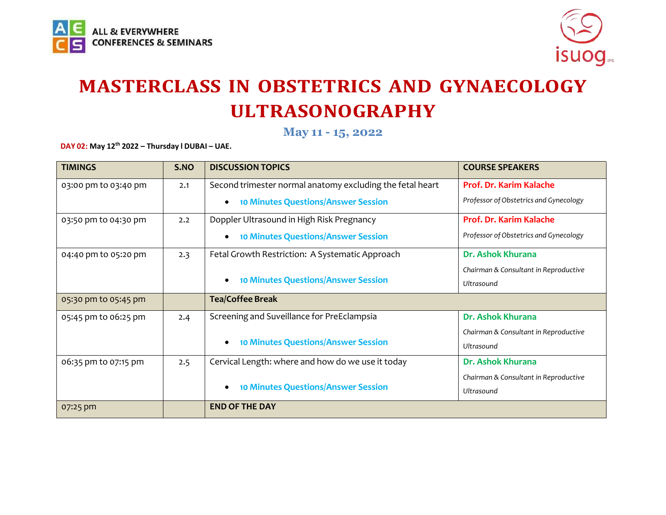



**May 11 - 15, 2022**

**DAY 02: May 12 th 2022 – Thursday l DUBAI – UAE.**

| <b>TIMINGS</b>       | S.NO | <b>DISCUSSION TOPICS</b>                                  | <b>COURSE SPEAKERS</b>                 |
|----------------------|------|-----------------------------------------------------------|----------------------------------------|
| 03:00 pm to 03:40 pm | 2.1  | Second trimester normal anatomy excluding the fetal heart | <b>Prof. Dr. Karim Kalache</b>         |
|                      |      | <b>10 Minutes Questions/Answer Session</b>                | Professor of Obstetrics and Gynecology |
| 03:50 pm to 04:30 pm | 2.2  | Doppler Ultrasound in High Risk Pregnancy                 | Prof. Dr. Karim Kalache                |
|                      |      | <b>10 Minutes Questions/Answer Session</b>                | Professor of Obstetrics and Gynecology |
| 04:40 pm to 05:20 pm | 2.3  | Fetal Growth Restriction: A Systematic Approach           | Dr. Ashok Khurana                      |
|                      |      |                                                           | Chairman & Consultant in Reproductive  |
|                      |      | <b>10 Minutes Questions/Answer Session</b>                | Ultrasound                             |
| 05:30 pm to 05:45 pm |      | <b>Tea/Coffee Break</b>                                   |                                        |
| 05:45 pm to 06:25 pm | 2.4  | Screening and Suveillance for PreEclampsia                | Dr. Ashok Khurana                      |
|                      |      |                                                           | Chairman & Consultant in Reproductive  |
|                      |      | <b>10 Minutes Questions/Answer Session</b>                | <b>Ultrasound</b>                      |
| 06:35 pm to 07:15 pm | 2.5  | Cervical Length: where and how do we use it today         | Dr. Ashok Khurana                      |
|                      |      |                                                           | Chairman & Consultant in Reproductive  |
|                      |      | <b>10 Minutes Questions/Answer Session</b>                | Ultrasound                             |
| 07:25 pm             |      | <b>END OF THE DAY</b>                                     |                                        |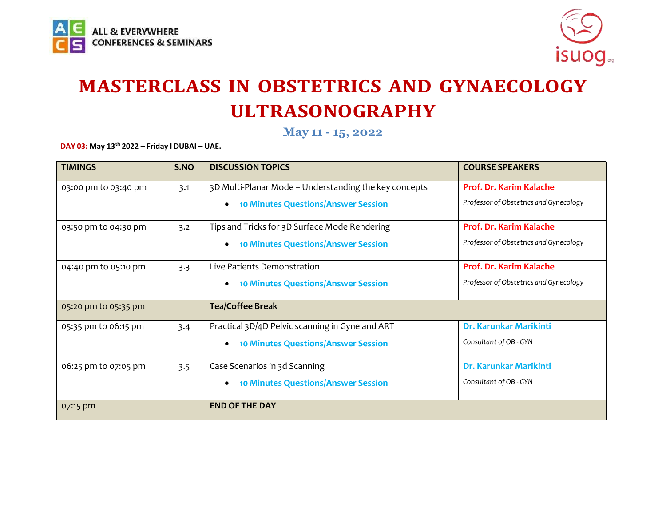



**May 11 - 15, 2022**

**DAY 03: May 13 th 2022 – Friday l DUBAI – UAE.**

| <b>TIMINGS</b>       | S.NO | <b>DISCUSSION TOPICS</b>                                | <b>COURSE SPEAKERS</b>                 |
|----------------------|------|---------------------------------------------------------|----------------------------------------|
| 03:00 pm to 03:40 pm | 3.1  | 3D Multi-Planar Mode - Understanding the key concepts   | Prof. Dr. Karim Kalache                |
|                      |      | <b>10 Minutes Questions/Answer Session</b><br>$\bullet$ | Professor of Obstetrics and Gynecology |
| 03:50 pm to 04:30 pm | 3.2  | Tips and Tricks for 3D Surface Mode Rendering           | Prof. Dr. Karim Kalache                |
|                      |      | <b>10 Minutes Questions/Answer Session</b><br>$\bullet$ | Professor of Obstetrics and Gynecology |
| 04:40 pm to 05:10 pm | 3.3  | Live Patients Demonstration                             | Prof. Dr. Karim Kalache                |
|                      |      | <b>10 Minutes Questions/Answer Session</b>              | Professor of Obstetrics and Gynecology |
| 05:20 pm to 05:35 pm |      | <b>Tea/Coffee Break</b>                                 |                                        |
| 05:35 pm to 06:15 pm | 3.4  | Practical 3D/4D Pelvic scanning in Gyne and ART         | Dr. Karunkar Marikinti                 |
|                      |      | <b>10 Minutes Questions/Answer Session</b>              | Consultant of OB - GYN                 |
| 06:25 pm to 07:05 pm | 3.5  | Case Scenarios in 3d Scanning                           | Dr. Karunkar Marikinti                 |
|                      |      | <b>10 Minutes Questions/Answer Session</b>              | Consultant of OB - GYN                 |
| 07:15 pm             |      | <b>END OF THE DAY</b>                                   |                                        |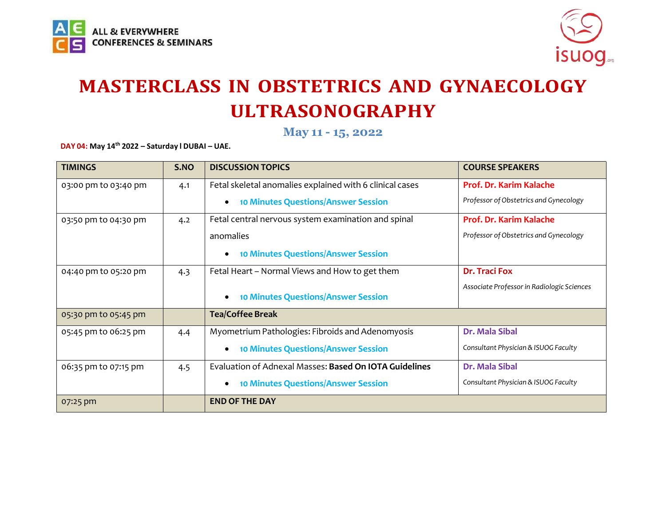



**May 11 - 15, 2022**

**DAY 04: May 14 th 2022 – Saturday l DUBAI – UAE.**

| <b>TIMINGS</b>       | S.NO | <b>DISCUSSION TOPICS</b>                                 | <b>COURSE SPEAKERS</b>                     |
|----------------------|------|----------------------------------------------------------|--------------------------------------------|
| 03:00 pm to 03:40 pm | 4.1  | Fetal skeletal anomalies explained with 6 clinical cases | Prof. Dr. Karim Kalache                    |
|                      |      | <b>10 Minutes Questions/Answer Session</b><br>$\bullet$  | Professor of Obstetrics and Gynecology     |
| 03:50 pm to 04:30 pm | 4.2  | Fetal central nervous system examination and spinal      | Prof. Dr. Karim Kalache                    |
|                      |      | anomalies                                                | Professor of Obstetrics and Gynecology     |
|                      |      | <b>10 Minutes Questions/Answer Session</b><br>$\bullet$  |                                            |
| 04:40 pm to 05:20 pm | 4.3  | Fetal Heart - Normal Views and How to get them           | <b>Dr. Traci Fox</b>                       |
|                      |      | <b>10 Minutes Questions/Answer Session</b>               | Associate Professor in Radiologic Sciences |
| 05:30 pm to 05:45 pm |      | <b>Tea/Coffee Break</b>                                  |                                            |
| 05:45 pm to 06:25 pm | 4.4  | Myometrium Pathologies: Fibroids and Adenomyosis         | Dr. Mala Sibal                             |
|                      |      | <b>10 Minutes Questions/Answer Session</b>               | Consultant Physician & ISUOG Faculty       |
| 06:35 pm to 07:15 pm | 4.5  | Evaluation of Adnexal Masses: Based On IOTA Guidelines   | Dr. Mala Sibal                             |
|                      |      | <b>10 Minutes Questions/Answer Session</b><br>$\bullet$  | Consultant Physician & ISUOG Faculty       |
| 07:25 pm             |      | <b>END OF THE DAY</b>                                    |                                            |